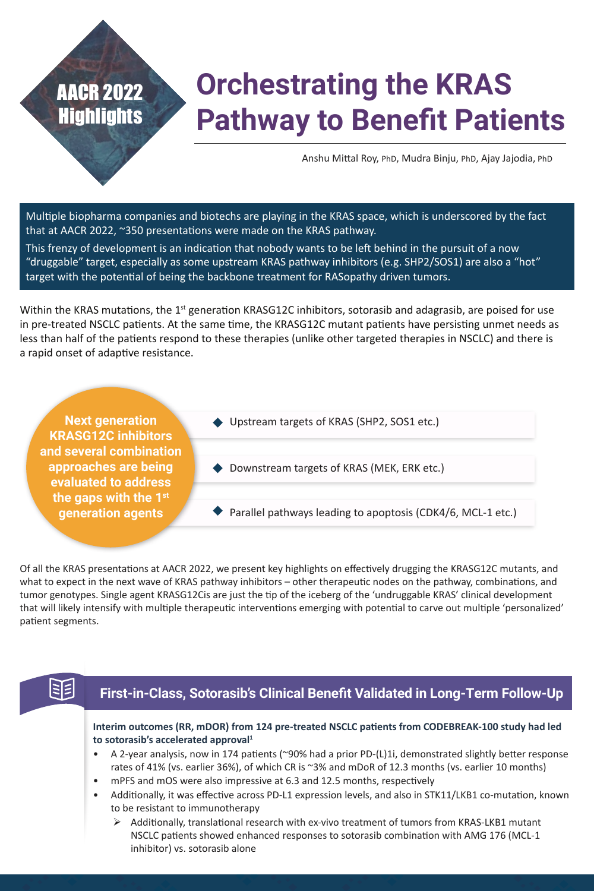# **Orchestrating the KRAS Pathway to Benefit Patients**

Anshu Mittal Roy, PhD, Mudra Binju, PhD, Ajay Jajodia, PhD

Multiple biopharma companies and biotechs are playing in the KRAS space, which is underscored by the fact that at AACR 2022, ~350 presentations were made on the KRAS pathway.

This frenzy of development is an indication that nobody wants to be left behind in the pursuit of a now "druggable" target, especially as some upstream KRAS pathway inhibitors (e.g. SHP2/SOS1) are also a "hot" target with the potential of being the backbone treatment for RASopathy driven tumors.

Within the KRAS mutations, the  $1<sup>st</sup>$  generation KRASG12C inhibitors, sotorasib and adagrasib, are poised for use in pre-treated NSCLC patients. At the same time, the KRASG12C mutant patients have persisting unmet needs as less than half of the patients respond to these therapies (unlike other targeted therapies in NSCLC) and there is a rapid onset of adaptive resistance.

**Next generation KRASG12C inhibitors and several combination approaches are being evaluated to address the gaps with the 1st generation agents**

AACR 2022

**Highlights** 

- ◆ Upstream targets of KRAS (SHP2, SOS1 etc.)
- Downstream targets of KRAS (MEK, ERK etc.)
- $\blacktriangleright$  Parallel pathways leading to apoptosis (CDK4/6, MCL-1 etc.)

Of all the KRAS presentations at AACR 2022, we present key highlights on effectively drugging the KRASG12C mutants, and what to expect in the next wave of KRAS pathway inhibitors – other therapeutic nodes on the pathway, combinations, and tumor genotypes. Single agent KRASG12Cis are just the tip of the iceberg of the 'undruggable KRAS' clinical development that will likely intensify with multiple therapeutic interventions emerging with potential to carve out multiple 'personalized' patient segments.

# 33

## **First-in-Class, Sotorasib's Clinical Benefit Validated in Long-Term Follow-Up**

**Interim outcomes (RR, mDOR) from 124 pre-treated NSCLC patients from CODEBREAK-100 study had led to sotorasib's accelerated approval<sup>1</sup>**

- A 2-year analysis, now in 174 patients (~90% had a prior PD-(L)1i, demonstrated slightly better response rates of 41% (vs. earlier 36%), of which CR is ~3% and mDoR of 12.3 months (vs. earlier 10 months)
- mPFS and mOS were also impressive at 6.3 and 12.5 months, respectively
- Additionally, it was effective across PD-L1 expression levels, and also in STK11/LKB1 co-mutation, known to be resistant to immunotherapy
	- $\triangleright$  Additionally, translational research with ex-vivo treatment of tumors from KRAS-LKB1 mutant NSCLC patients showed enhanced responses to sotorasib combination with AMG 176 (MCL-1 inhibitor) vs. sotorasib alone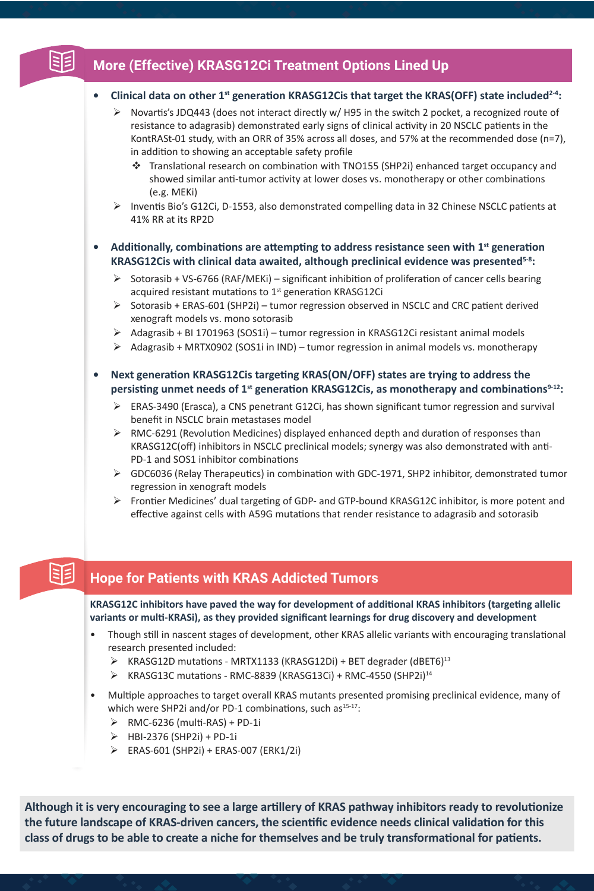# **More (Effective) KRASG12Ci Treatment Options Lined Up**

## **• Clinical data on other 1st generation KRASG12Cis that target the KRAS(OFF) state included2-4:**

- $\triangleright$  Novartis's JDQ443 (does not interact directly w/H95 in the switch 2 pocket, a recognized route of resistance to adagrasib) demonstrated early signs of clinical activity in 20 NSCLC patients in the KontRASt-01 study, with an ORR of 35% across all doses, and 57% at the recommended dose (n=7), in addition to showing an acceptable safety profile
	- Translational research on combination with TNO155 (SHP2i) enhanced target occupancy and showed similar anti-tumor activity at lower doses vs. monotherapy or other combinations (e.g. MEKi)
- ¾ Inventis Bio's G12Ci, D-1553, also demonstrated compelling data in 32 Chinese NSCLC patients at 41% RR at its RP2D

## **• Additionally, combinations are attempting to address resistance seen with 1st generation KRASG12Cis with clinical data awaited, although preclinical evidence was presented5-8:**

- $\triangleright$  Sotorasib + VS-6766 (RAF/MEKi) significant inhibition of proliferation of cancer cells bearing acquired resistant mutations to 1<sup>st</sup> generation KRASG12Ci
- ¾ Sotorasib + ERAS-601 (SHP2i) tumor regression observed in NSCLC and CRC patient derived xenograft models vs. mono sotorasib
- ¾ Adagrasib + BI 1701963 (SOS1i) tumor regression in KRASG12Ci resistant animal models
- $\triangleright$  Adagrasib + MRTX0902 (SOS1i in IND) tumor regression in animal models vs. monotherapy
- **• Next generation KRASG12Cis targeting KRAS(ON/OFF) states are trying to address the persisting unmet needs of 1st generation KRASG12Cis, as monotherapy and combinations9-12:**
	- $\triangleright$  ERAS-3490 (Erasca), a CNS penetrant G12Ci, has shown significant tumor regression and survival benefit in NSCLC brain metastases model
	- $\triangleright$  RMC-6291 (Revolution Medicines) displayed enhanced depth and duration of responses than KRASG12C(off) inhibitors in NSCLC preclinical models; synergy was also demonstrated with anti-PD-1 and SOS1 inhibitor combinations
	- ¾ GDC6036 (Relay Therapeutics) in combination with GDC-1971, SHP2 inhibitor, demonstrated tumor regression in xenograft models
	- $\triangleright$  Frontier Medicines' dual targeting of GDP- and GTP-bound KRASG12C inhibitor, is more potent and effective against cells with A59G mutations that render resistance to adagrasib and sotorasib

#### 93 **Hope for Patients with KRAS Addicted Tumors**

**KRASG12C inhibitors have paved the way for development of additional KRAS inhibitors (targeting allelic variants or multi-KRASi), as they provided significant learnings for drug discovery and development**

- Though still in nascent stages of development, other KRAS allelic variants with encouraging translational research presented included:
	- $\triangleright$  KRASG12D mutations MRTX1133 (KRASG12Di) + BET degrader (dBET6)<sup>13</sup>
	- ¾ KRASG13C mutations RMC-8839 (KRASG13Ci) + RMC-4550 (SHP2i)14
- Multiple approaches to target overall KRAS mutants presented promising preclinical evidence, many of which were SHP2i and/or PD-1 combinations, such as $15-17$ :
	- $\triangleright$  RMC-6236 (multi-RAS) + PD-1i
	- ¾ HBI-2376 (SHP2i) + PD-1i
	- ¾ ERAS-601 (SHP2i) + ERAS-007 (ERK1/2i)

**Although it is very encouraging to see a large artillery of KRAS pathway inhibitors ready to revolutionize the future landscape of KRAS-driven cancers, the scientific evidence needs clinical validation for this class of drugs to be able to create a niche for themselves and be truly transformational for patients.**